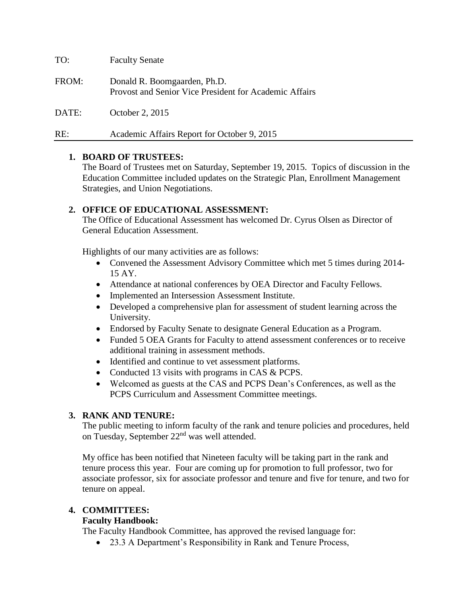TO: Faculty Senate FROM: Donald R. Boomgaarden, Ph.D. Provost and Senior Vice President for Academic Affairs DATE: October 2, 2015 RE: Academic Affairs Report for October 9, 2015

### **1. BOARD OF TRUSTEES:**

The Board of Trustees met on Saturday, September 19, 2015. Topics of discussion in the Education Committee included updates on the Strategic Plan, Enrollment Management Strategies, and Union Negotiations.

## **2. OFFICE OF EDUCATIONAL ASSESSMENT:**

The Office of Educational Assessment has welcomed Dr. Cyrus Olsen as Director of General Education Assessment.

Highlights of our many activities are as follows:

- Convened the Assessment Advisory Committee which met 5 times during 2014-15 AY.
- Attendance at national conferences by OEA Director and Faculty Fellows.
- Implemented an Intersession Assessment Institute.
- Developed a comprehensive plan for assessment of student learning across the University.
- Endorsed by Faculty Senate to designate General Education as a Program.
- Funded 5 OEA Grants for Faculty to attend assessment conferences or to receive additional training in assessment methods.
- Identified and continue to vet assessment platforms.
- Conducted 13 visits with programs in CAS & PCPS.
- Welcomed as guests at the CAS and PCPS Dean's Conferences, as well as the PCPS Curriculum and Assessment Committee meetings.

# **3. RANK AND TENURE:**

The public meeting to inform faculty of the rank and tenure policies and procedures, held on Tuesday, September 22<sup>nd</sup> was well attended.

My office has been notified that Nineteen faculty will be taking part in the rank and tenure process this year. Four are coming up for promotion to full professor, two for associate professor, six for associate professor and tenure and five for tenure, and two for tenure on appeal.

### **4. COMMITTEES:**

### **Faculty Handbook:**

The Faculty Handbook Committee, has approved the revised language for:

• 23.3 A Department's Responsibility in Rank and Tenure Process,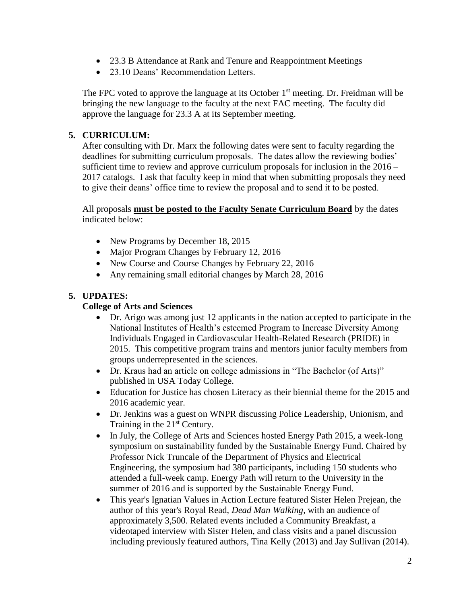- 23.3 B Attendance at Rank and Tenure and Reappointment Meetings
- 23.10 Deans' Recommendation Letters.

The FPC voted to approve the language at its October  $1<sup>st</sup>$  meeting. Dr. Freidman will be bringing the new language to the faculty at the next FAC meeting. The faculty did approve the language for 23.3 A at its September meeting.

# **5. CURRICULUM:**

After consulting with Dr. Marx the following dates were sent to faculty regarding the deadlines for submitting curriculum proposals. The dates allow the reviewing bodies' sufficient time to review and approve curriculum proposals for inclusion in the 2016 – 2017 catalogs. I ask that faculty keep in mind that when submitting proposals they need to give their deans' office time to review the proposal and to send it to be posted.

All proposals **must be posted to the Faculty Senate Curriculum Board** by the dates indicated below:

- New Programs by December 18, 2015
- Major Program Changes by February 12, 2016
- New Course and Course Changes by February 22, 2016
- Any remaining small editorial changes by March 28, 2016

# **5. UPDATES:**

# **College of Arts and Sciences**

- Dr. Arigo was among just 12 applicants in the nation accepted to participate in the National Institutes of Health's esteemed Program to Increase Diversity Among Individuals Engaged in Cardiovascular Health-Related Research (PRIDE) in 2015. This competitive program trains and mentors junior faculty members from groups underrepresented in the sciences.
- Dr. Kraus had an article on college admissions in "The Bachelor (of Arts)" published in USA Today College.
- Education for Justice has chosen Literacy as their biennial theme for the 2015 and 2016 academic year.
- Dr. Jenkins was a guest on WNPR discussing Police Leadership, Unionism, and Training in the 21<sup>st</sup> Century.
- In July, the College of Arts and Sciences hosted Energy Path 2015, a week-long symposium on sustainability funded by the Sustainable Energy Fund. Chaired by Professor Nick Truncale of the Department of Physics and Electrical Engineering, the symposium had 380 participants, including 150 students who attended a full-week camp. Energy Path will return to the University in the summer of 2016 and is supported by the Sustainable Energy Fund.
- This year's Ignatian Values in Action Lecture featured Sister Helen Prejean, the author of this year's Royal Read, *Dead Man Walking,* with an audience of approximately 3,500. Related events included a Community Breakfast, a videotaped interview with Sister Helen, and class visits and a panel discussion including previously featured authors, Tina Kelly (2013) and Jay Sullivan (2014).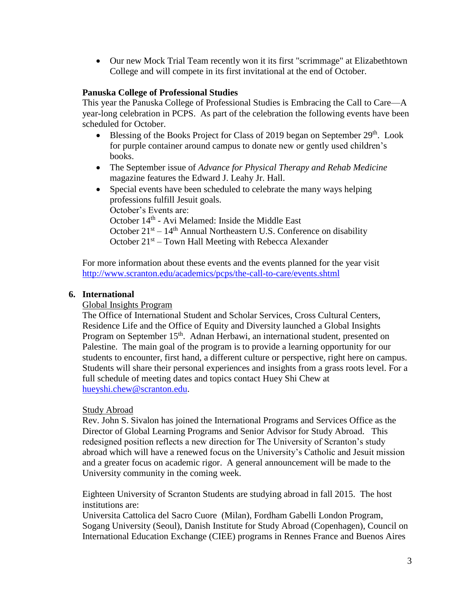Our new Mock Trial Team recently won it its first "scrimmage" at Elizabethtown College and will compete in its first invitational at the end of October.

## **Panuska College of Professional Studies**

This year the Panuska College of Professional Studies is Embracing the Call to Care—A year-long celebration in PCPS. As part of the celebration the following events have been scheduled for October.

- Blessing of the Books Project for Class of 2019 began on September 29<sup>th</sup>. Look for purple container around campus to donate new or gently used children's books.
- The September issue of *Advance for Physical Therapy and Rehab Medicine* magazine features the Edward J. Leahy Jr. Hall.
- Special events have been scheduled to celebrate the many ways helping professions fulfill Jesuit goals. October's Events are: October 14<sup>th</sup> - Avi Melamed: Inside the Middle East October  $21<sup>st</sup> - 14<sup>th</sup>$  Annual Northeastern U.S. Conference on disability October 21<sup>st</sup> – Town Hall Meeting with Rebecca Alexander

For more information about these events and the events planned for the year visit <http://www.scranton.edu/academics/pcps/the-call-to-care/events.shtml>

## **6. International**

### Global Insights Program

The Office of International Student and Scholar Services, Cross Cultural Centers, Residence Life and the Office of Equity and Diversity launched a Global Insights Program on September 15<sup>th</sup>. Adnan Herbawi, an international student, presented on Palestine. The main goal of the program is to provide a learning opportunity for our students to encounter, first hand, a different culture or perspective, right here on campus. Students will share their personal experiences and insights from a grass roots level. For a full schedule of meeting dates and topics contact Huey Shi Chew at [hueyshi.chew@scranton.edu.](mailto:hueyshi.chew@scranton.edu)

### Study Abroad

Rev. John S. Sivalon has joined the International Programs and Services Office as the Director of Global Learning Programs and Senior Advisor for Study Abroad. This redesigned position reflects a new direction for The University of Scranton's study abroad which will have a renewed focus on the University's Catholic and Jesuit mission and a greater focus on academic rigor. A general announcement will be made to the University community in the coming week.

Eighteen University of Scranton Students are studying abroad in fall 2015. The host institutions are:

Universita Cattolica del Sacro Cuore (Milan), Fordham Gabelli London Program, Sogang University (Seoul), Danish Institute for Study Abroad (Copenhagen), Council on International Education Exchange (CIEE) programs in Rennes France and Buenos Aires